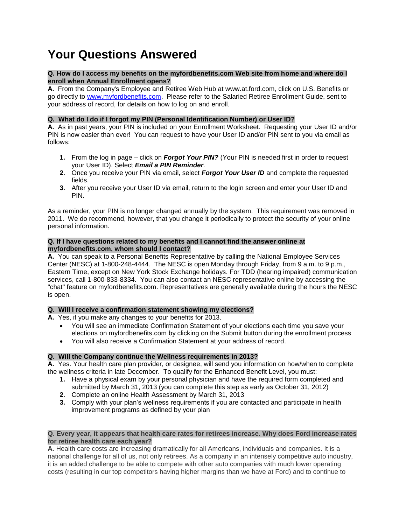# **Your Questions Answered**

### **Q. How do I access my benefits on the myfordbenefits.com Web site from home and where do I enroll when Annual Enrollment opens?**

**A.** From the Company's Employee and Retiree Web Hub at www.at.ford.com, click on U.S. Benefits or go directly to [www.myfordbenefits.com.](http://www.myfordbenefits.com/) Please refer to the Salaried Retiree Enrollment Guide, sent to your address of record, for details on how to log on and enroll.

# **Q. What do I do if I forgot my PIN (Personal Identification Number) or User ID?**

**A.** As in past years, your PIN is included on your Enrollment Worksheet. Requesting your User ID and/or PIN is now easier than ever! You can request to have your User ID and/or PIN sent to you via email as follows:

- **1.** From the log in page click on *Forgot Your PIN?* (Your PIN is needed first in order to request your User ID). Select *Email a PIN Reminder*.
- **2.** Once you receive your PIN via email, select *Forgot Your User ID* and complete the requested fields.
- **3.** After you receive your User ID via email, return to the login screen and enter your User ID and PIN.

As a reminder, your PIN is no longer changed annually by the system. This requirement was removed in 2011. We do recommend, however, that you change it periodically to protect the security of your online personal information.

#### **Q. If I have questions related to my benefits and I cannot find the answer online at myfordbenefits.com, whom should I contact?**

**A.** You can speak to a Personal Benefits Representative by calling the National Employee Services Center (NESC) at 1-800-248-4444. The NESC is open Monday through Friday, from 9 a.m. to 9 p.m., Eastern Time, except on New York Stock Exchange holidays. For TDD (hearing impaired) communication services, call 1-800-833-8334. You can also contact an NESC representative online by accessing the "chat" feature on myfordbenefits.com. Representatives are generally available during the hours the NESC is open.

# **Q. Will I receive a confirmation statement showing my elections?**

**A.** Yes, if you make any changes to your benefits for 2013.

- You will see an immediate Confirmation Statement of your elections each time you save your elections on myfordbenefits.com by clicking on the Submit button during the enrollment process
- You will also receive a Confirmation Statement at your address of record.

# **Q. Will the Company continue the Wellness requirements in 2013?**

**A.** Yes. Your health care plan provider, or designee, will send you information on how/when to complete the wellness criteria in late December. To qualify for the Enhanced Benefit Level, you must:

- **1.** Have a physical exam by your personal physician and have the required form completed and submitted by March 31, 2013 (you can complete this step as early as October 31, 2012)
- **2.** Complete an online Health Assessment by March 31, 2013
- **3.** Comply with your plan's wellness requirements if you are contacted and participate in health improvement programs as defined by your plan

#### **Q. Every year, it appears that health care rates for retirees increase. Why does Ford increase rates for retiree health care each year?**

**A.** Health care costs are increasing dramatically for all Americans, individuals and companies. It is a national challenge for all of us, not only retirees. As a company in an intensely competitive auto industry, it is an added challenge to be able to compete with other auto companies with much lower operating costs (resulting in our top competitors having higher margins than we have at Ford) and to continue to